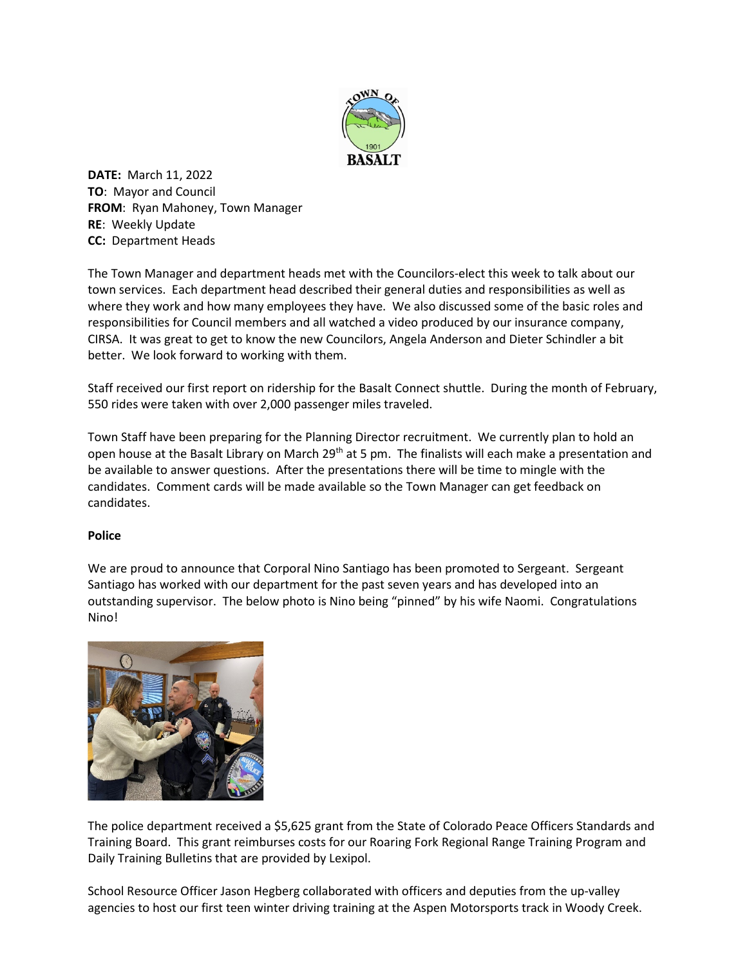

**DATE:** March 11, 2022 **TO**: Mayor and Council **FROM**: Ryan Mahoney, Town Manager **RE**: Weekly Update **CC:** Department Heads

The Town Manager and department heads met with the Councilors-elect this week to talk about our town services. Each department head described their general duties and responsibilities as well as where they work and how many employees they have. We also discussed some of the basic roles and responsibilities for Council members and all watched a video produced by our insurance company, CIRSA. It was great to get to know the new Councilors, Angela Anderson and Dieter Schindler a bit better. We look forward to working with them.

Staff received our first report on ridership for the Basalt Connect shuttle. During the month of February, 550 rides were taken with over 2,000 passenger miles traveled.

Town Staff have been preparing for the Planning Director recruitment. We currently plan to hold an open house at the Basalt Library on March 29<sup>th</sup> at 5 pm. The finalists will each make a presentation and be available to answer questions. After the presentations there will be time to mingle with the candidates. Comment cards will be made available so the Town Manager can get feedback on candidates.

## **Police**

We are proud to announce that Corporal Nino Santiago has been promoted to Sergeant. Sergeant Santiago has worked with our department for the past seven years and has developed into an outstanding supervisor. The below photo is Nino being "pinned" by his wife Naomi. Congratulations Nino!



The police department received a \$5,625 grant from the State of Colorado Peace Officers Standards and Training Board. This grant reimburses costs for our Roaring Fork Regional Range Training Program and Daily Training Bulletins that are provided by Lexipol.

School Resource Officer Jason Hegberg collaborated with officers and deputies from the up-valley agencies to host our first teen winter driving training at the Aspen Motorsports track in Woody Creek.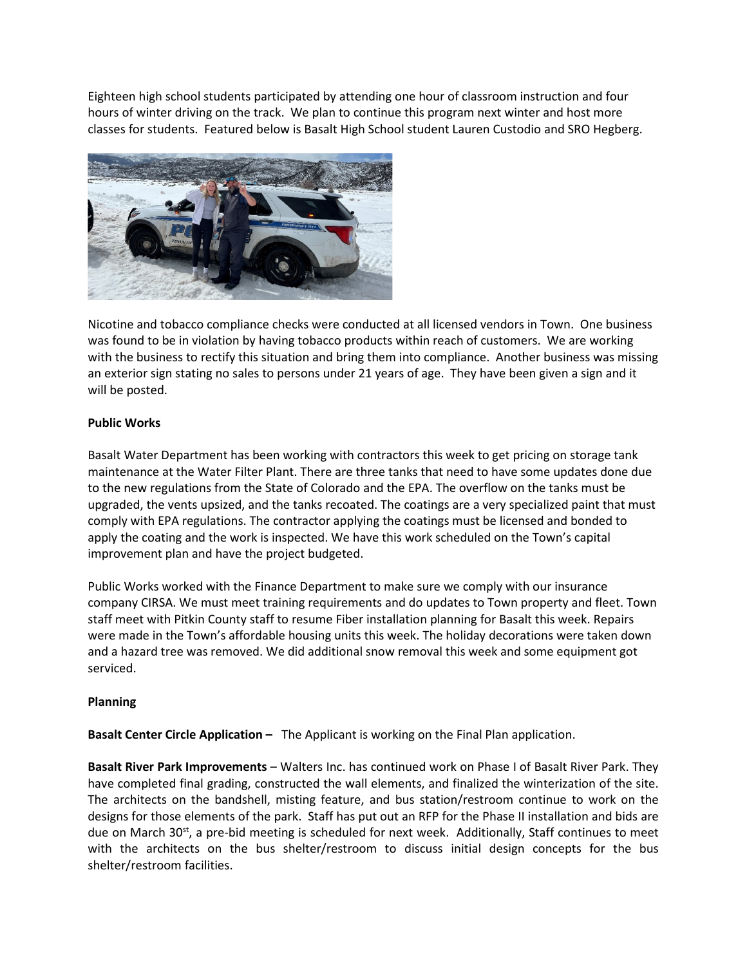Eighteen high school students participated by attending one hour of classroom instruction and four hours of winter driving on the track. We plan to continue this program next winter and host more classes for students. Featured below is Basalt High School student Lauren Custodio and SRO Hegberg.



Nicotine and tobacco compliance checks were conducted at all licensed vendors in Town. One business was found to be in violation by having tobacco products within reach of customers. We are working with the business to rectify this situation and bring them into compliance. Another business was missing an exterior sign stating no sales to persons under 21 years of age. They have been given a sign and it will be posted.

## **Public Works**

Basalt Water Department has been working with contractors this week to get pricing on storage tank maintenance at the Water Filter Plant. There are three tanks that need to have some updates done due to the new regulations from the State of Colorado and the EPA. The overflow on the tanks must be upgraded, the vents upsized, and the tanks recoated. The coatings are a very specialized paint that must comply with EPA regulations. The contractor applying the coatings must be licensed and bonded to apply the coating and the work is inspected. We have this work scheduled on the Town's capital improvement plan and have the project budgeted.

Public Works worked with the Finance Department to make sure we comply with our insurance company CIRSA. We must meet training requirements and do updates to Town property and fleet. Town staff meet with Pitkin County staff to resume Fiber installation planning for Basalt this week. Repairs were made in the Town's affordable housing units this week. The holiday decorations were taken down and a hazard tree was removed. We did additional snow removal this week and some equipment got serviced.

## **Planning**

**Basalt Center Circle Application –** The Applicant is working on the Final Plan application.

**Basalt River Park Improvements** – Walters Inc. has continued work on Phase I of Basalt River Park. They have completed final grading, constructed the wall elements, and finalized the winterization of the site. The architects on the bandshell, misting feature, and bus station/restroom continue to work on the designs for those elements of the park. Staff has put out an RFP for the Phase II installation and bids are due on March 30 $\text{st}$ , a pre-bid meeting is scheduled for next week. Additionally, Staff continues to meet with the architects on the bus shelter/restroom to discuss initial design concepts for the bus shelter/restroom facilities.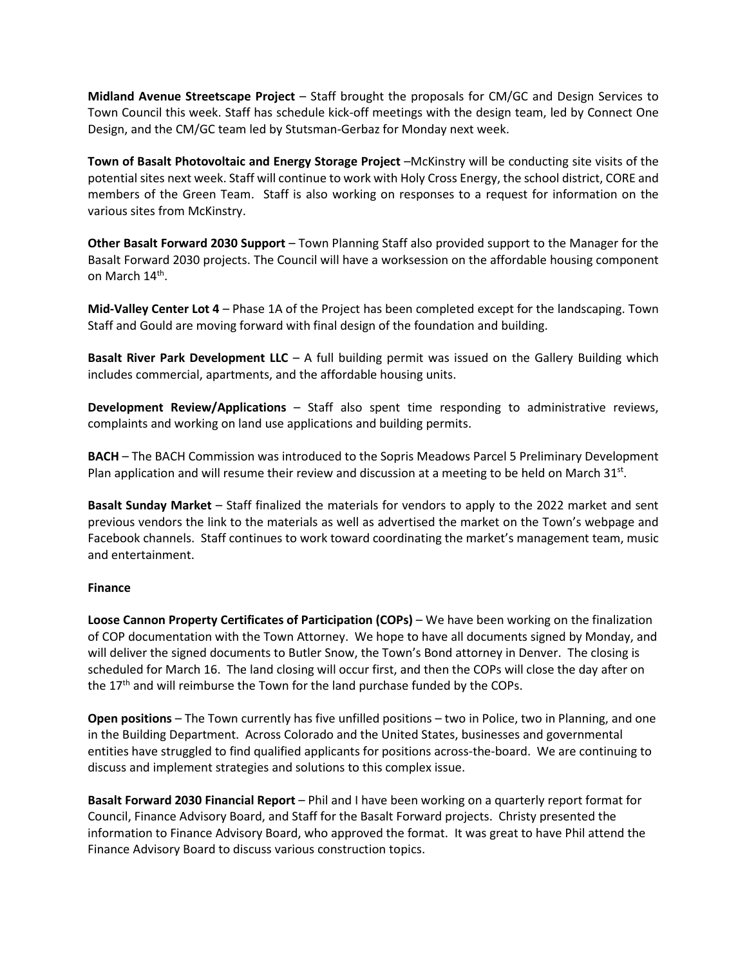**Midland Avenue Streetscape Project** – Staff brought the proposals for CM/GC and Design Services to Town Council this week. Staff has schedule kick-off meetings with the design team, led by Connect One Design, and the CM/GC team led by Stutsman-Gerbaz for Monday next week.

**Town of Basalt Photovoltaic and Energy Storage Project** –McKinstry will be conducting site visits of the potential sites next week. Staff will continue to work with Holy Cross Energy, the school district, CORE and members of the Green Team. Staff is also working on responses to a request for information on the various sites from McKinstry.

**Other Basalt Forward 2030 Support** – Town Planning Staff also provided support to the Manager for the Basalt Forward 2030 projects. The Council will have a worksession on the affordable housing component on March 14<sup>th</sup>.

**Mid-Valley Center Lot 4** – Phase 1A of the Project has been completed except for the landscaping. Town Staff and Gould are moving forward with final design of the foundation and building.

**Basalt River Park Development LLC** – A full building permit was issued on the Gallery Building which includes commercial, apartments, and the affordable housing units.

**Development Review/Applications** – Staff also spent time responding to administrative reviews, complaints and working on land use applications and building permits.

**BACH** – The BACH Commission was introduced to the Sopris Meadows Parcel 5 Preliminary Development Plan application and will resume their review and discussion at a meeting to be held on March  $31^{st}$ .

**Basalt Sunday Market** – Staff finalized the materials for vendors to apply to the 2022 market and sent previous vendors the link to the materials as well as advertised the market on the Town's webpage and Facebook channels. Staff continues to work toward coordinating the market's management team, music and entertainment.

## **Finance**

**Loose Cannon Property Certificates of Participation (COPs)** – We have been working on the finalization of COP documentation with the Town Attorney. We hope to have all documents signed by Monday, and will deliver the signed documents to Butler Snow, the Town's Bond attorney in Denver. The closing is scheduled for March 16. The land closing will occur first, and then the COPs will close the day after on the 17<sup>th</sup> and will reimburse the Town for the land purchase funded by the COPs.

**Open positions** – The Town currently has five unfilled positions – two in Police, two in Planning, and one in the Building Department. Across Colorado and the United States, businesses and governmental entities have struggled to find qualified applicants for positions across-the-board. We are continuing to discuss and implement strategies and solutions to this complex issue.

**Basalt Forward 2030 Financial Report** – Phil and I have been working on a quarterly report format for Council, Finance Advisory Board, and Staff for the Basalt Forward projects. Christy presented the information to Finance Advisory Board, who approved the format. It was great to have Phil attend the Finance Advisory Board to discuss various construction topics.